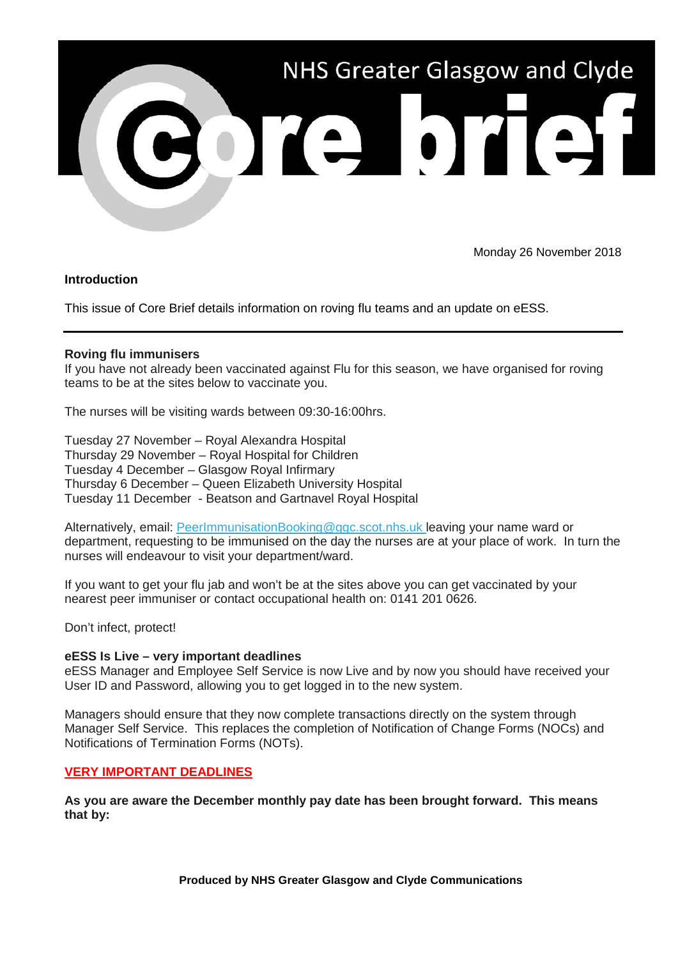

Monday 26 November 2018

## **Introduction**

This issue of Core Brief details information on roving flu teams and an update on eESS.

## **Roving flu immunisers**

If you have not already been vaccinated against Flu for this season, we have organised for roving teams to be at the sites below to vaccinate you.

The nurses will be visiting wards between 09:30-16:00hrs.

Tuesday 27 November – Royal Alexandra Hospital Thursday 29 November – Royal Hospital for Children Tuesday 4 December – Glasgow Royal Infirmary Thursday 6 December – Queen Elizabeth University Hospital Tuesday 11 December - Beatson and Gartnavel Royal Hospital

Alternatively, email: [PeerImmunisationBooking@ggc.scot.nhs.uk l](mailto:PeerImmunisationBooking@ggc.scot.nhs.uk)eaving your name ward or department, requesting to be immunised on the day the nurses are at your place of work. In turn the nurses will endeavour to visit your department/ward.

If you want to get your flu jab and won't be at the sites above you can get vaccinated by your nearest peer immuniser or contact occupational health on: 0141 201 0626.

Don't infect, protect!

## **eESS Is Live – very important deadlines**

eESS Manager and Employee Self Service is now Live and by now you should have received your User ID and Password, allowing you to get logged in to the new system.

Managers should ensure that they now complete transactions directly on the system through Manager Self Service. This replaces the completion of Notification of Change Forms (NOCs) and Notifications of Termination Forms (NOTs).

## **VERY IMPORTANT DEADLINES**

**As you are aware the December monthly pay date has been brought forward. This means that by:**